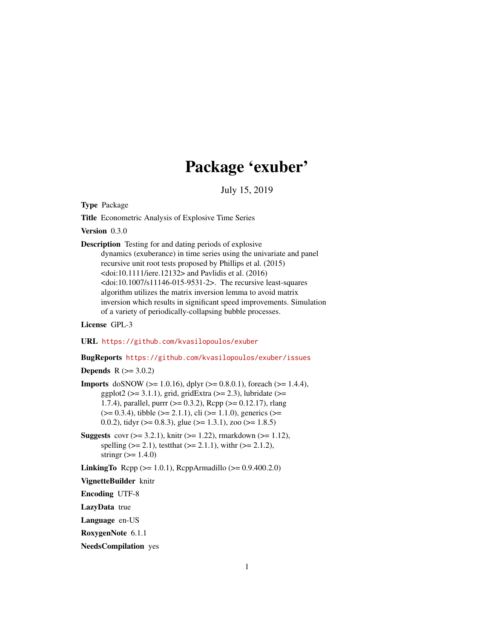# Package 'exuber'

July 15, 2019

<span id="page-0-0"></span>Type Package

Title Econometric Analysis of Explosive Time Series

Version 0.3.0

Description Testing for and dating periods of explosive dynamics (exuberance) in time series using the univariate and panel recursive unit root tests proposed by Phillips et al. (2015)  $\langle \text{doi:10.1111/iere}.12132 \rangle$  and Pavlidis et al. (2016)  $<$ doi:10.1007/s11146-015-9531-2>. The recursive least-squares algorithm utilizes the matrix inversion lemma to avoid matrix inversion which results in significant speed improvements. Simulation of a variety of periodically-collapsing bubble processes.

#### License GPL-3

URL <https://github.com/kvasilopoulos/exuber>

BugReports <https://github.com/kvasilopoulos/exuber/issues>

**Depends**  $R$  ( $> = 3.0.2$ )

- **Imports** doSNOW ( $>= 1.0.16$ ), dplyr ( $>= 0.8.0.1$ ), foreach ( $>= 1.4.4$ ), ggplot2 ( $>= 3.1.1$ ), grid, gridExtra ( $>= 2.3$ ), lubridate ( $>=$ 1.7.4), parallel, purrr (>= 0.3.2), Rcpp (>= 0.12.17), rlang  $(>= 0.3.4)$ , tibble  $(>= 2.1.1)$ , cli  $(>= 1.1.0)$ , generics  $(>= 1.1.0)$ 0.0.2), tidyr ( $> = 0.8.3$ ), glue ( $> = 1.3.1$ ), zoo ( $> = 1.8.5$ )
- **Suggests** covr  $(>= 3.2.1)$ , knitr  $(>= 1.22)$ , rmarkdown  $(>= 1.12)$ , spelling ( $>= 2.1$ ), test that ( $>= 2.1.1$ ), with  $(>= 2.1.2)$ , stringr  $(>= 1.4.0)$

**LinkingTo** Rcpp ( $>= 1.0.1$ ), RcppArmadillo ( $>= 0.9.400.2.0$ )

VignetteBuilder knitr

Encoding UTF-8

LazyData true

Language en-US

RoxygenNote 6.1.1

NeedsCompilation yes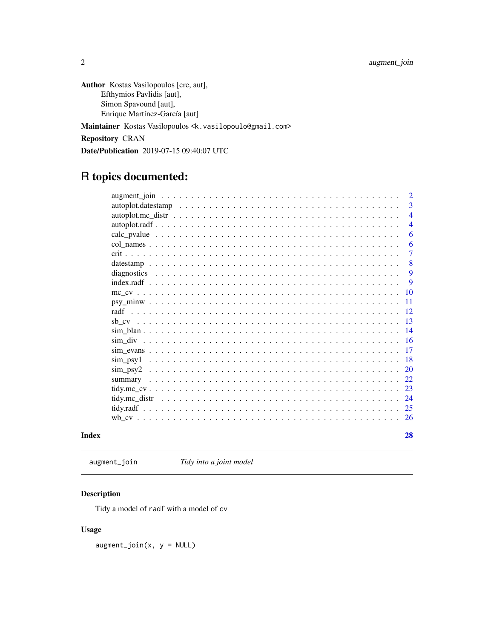<span id="page-1-0"></span>Author Kostas Vasilopoulos [cre, aut], Efthymios Pavlidis [aut], Simon Spavound [aut], Enrique Martínez-García [aut] Maintainer Kostas Vasilopoulos <k.vasilopoulo@gmail.com> Repository CRAN

Date/Publication 2019-07-15 09:40:07 UTC

## R topics documented:

|       |                                                                                                                     | 3              |
|-------|---------------------------------------------------------------------------------------------------------------------|----------------|
|       |                                                                                                                     | $\overline{4}$ |
|       |                                                                                                                     | $\overline{4}$ |
|       |                                                                                                                     | 6              |
|       |                                                                                                                     | 6              |
|       |                                                                                                                     | $\overline{7}$ |
|       |                                                                                                                     | 8              |
|       |                                                                                                                     | 9              |
|       | $index.readf \dots \dots \dots \dots \dots \dots \dots \dots \dots \dots \dots \dots \dots \dots \dots \dots \dots$ | 9              |
|       |                                                                                                                     | 10             |
|       |                                                                                                                     | 11             |
|       |                                                                                                                     | 12             |
|       |                                                                                                                     | 13             |
|       |                                                                                                                     | 14             |
|       |                                                                                                                     | -16            |
|       |                                                                                                                     | 17             |
|       |                                                                                                                     | 18             |
|       |                                                                                                                     | 20             |
|       |                                                                                                                     | 22.            |
|       |                                                                                                                     | 23             |
|       |                                                                                                                     | 24             |
|       |                                                                                                                     | 25             |
|       |                                                                                                                     | -26            |
| Index |                                                                                                                     | 28             |

augment\_join *Tidy into a joint model*

### Description

Tidy a model of radf with a model of cv

#### Usage

 $augment\_join(x, y = NULL)$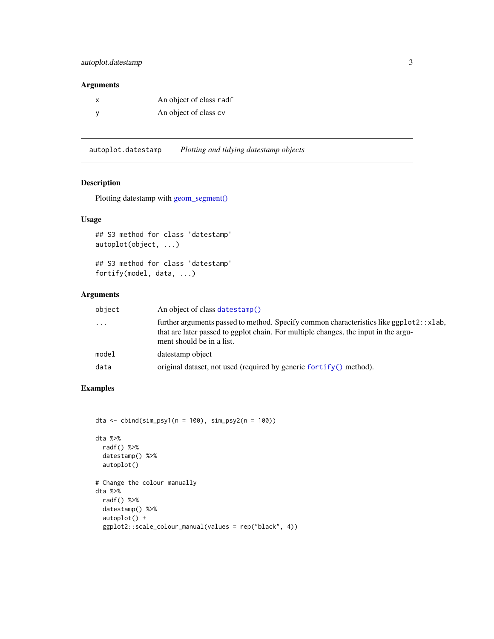#### <span id="page-2-0"></span>autoplot.datestamp 3

#### Arguments

| An object of class radf |
|-------------------------|
| An object of class cv   |

autoplot.datestamp *Plotting and tidying datestamp objects*

#### Description

Plotting datestamp with [geom\\_segment\(\)](#page-0-0)

#### Usage

## S3 method for class 'datestamp' autoplot(object, ...)

## S3 method for class 'datestamp' fortify(model, data, ...)

#### Arguments

| object   | An object of class datestamp()                                                                                                                                                                               |
|----------|--------------------------------------------------------------------------------------------------------------------------------------------------------------------------------------------------------------|
| $\cdots$ | further arguments passed to method. Specify common characteristics like ggplot2: : xlab,<br>that are later passed to ggplot chain. For multiple changes, the input in the argu-<br>ment should be in a list. |
| model    | datestamp object                                                                                                                                                                                             |
| data     | original dataset, not used (required by generic for $\text{tfy}()$ method).                                                                                                                                  |

#### Examples

```
dta <- cbind(sim_psy1(n = 100), sim_psy2(n = 100))
dta %>%
  radf() %>%
  datestamp() %>%
  autoplot()
# Change the colour manually
dta %>%
  radf() %>%
  datestamp() %>%
  autoplot() +
  ggplot2::scale_colour_manual(values = rep("black", 4))
```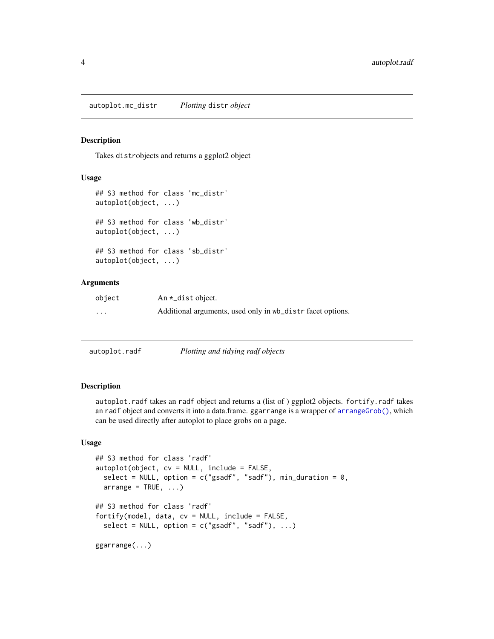<span id="page-3-0"></span>Takes distrobjects and returns a ggplot2 object

#### Usage

```
## S3 method for class 'mc_distr'
autoplot(object, ...)
## S3 method for class 'wb_distr'
autoplot(object, ...)
## S3 method for class 'sb_distr'
autoplot(object, ...)
```
#### **Arguments**

| object | An $\star$ _dist object.                                   |
|--------|------------------------------------------------------------|
| .      | Additional arguments, used only in wb_distr facet options. |

| autoplot.radf | Plotting and tidying radf objects |
|---------------|-----------------------------------|
|               |                                   |

#### Description

autoplot.radf takes an radf object and returns a (list of ) ggplot2 objects. fortify.radf takes an radf object and converts it into a data.frame. ggarrange is a wrapper of [arrangeGrob\(\)](#page-0-0), which can be used directly after autoplot to place grobs on a page.

#### Usage

```
## S3 method for class 'radf'
autoplot(object, cv = NULL, include = FALSE,select = NULL, option = c("gsadf", "sadf"), min_duration = 0,array = TRUE, ...## S3 method for class 'radf'
fortify(model, data, cv = NULL, include = FALSE,
  select = NULL, option = c("gsadf", "sadf"), ...)ggarrange(...)
```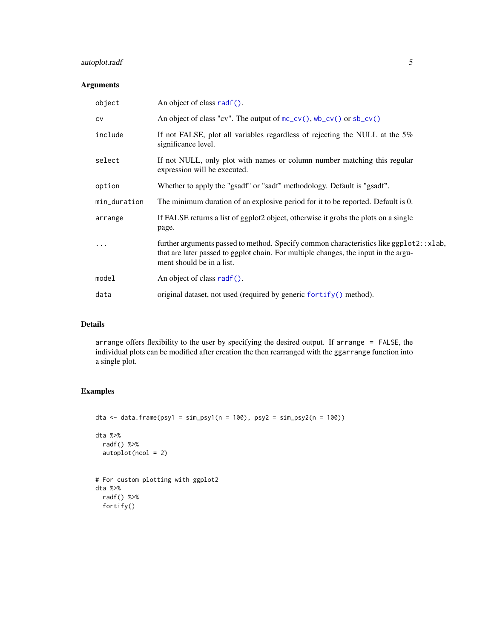#### <span id="page-4-0"></span>autoplot.radf 5

#### Arguments

| object       | An object of class radf().                                                                                                                                                                                 |
|--------------|------------------------------------------------------------------------------------------------------------------------------------------------------------------------------------------------------------|
| <b>CV</b>    | An object of class "cv". The output of $mc_{cv}$ (), wb_cv() or sb_cv()                                                                                                                                    |
| include      | If not FALSE, plot all variables regardless of rejecting the NULL at the 5%<br>significance level.                                                                                                         |
| select       | If not NULL, only plot with names or column number matching this regular<br>expression will be executed.                                                                                                   |
| option       | Whether to apply the "gsadf" or "sadf" methodology. Default is "gsadf".                                                                                                                                    |
| min_duration | The minimum duration of an explosive period for it to be reported. Default is 0.                                                                                                                           |
| arrange      | If FALSE returns a list of ggplot2 object, otherwise it grobs the plots on a single<br>page.                                                                                                               |
|              | further arguments passed to method. Specify common characteristics like ggplot2::xlab,<br>that are later passed to ggplot chain. For multiple changes, the input in the argu-<br>ment should be in a list. |
| model        | An object of class radf().                                                                                                                                                                                 |
| data         | original dataset, not used (required by generic for $\text{tfy}()$ method).                                                                                                                                |

#### Details

arrange offers flexibility to the user by specifying the desired output. If arrange = FALSE, the individual plots can be modified after creation the then rearranged with the ggarrange function into a single plot.

#### Examples

```
dta <- data.frame(psy1 = sim_psy1(n = 100), psy2 = sim_psy2(n = 100))
dta %>%
 radf() %>%
  autoplot(ncol = 2)
# For custom plotting with ggplot2
dta %>%
  radf() %>%
  fortify()
```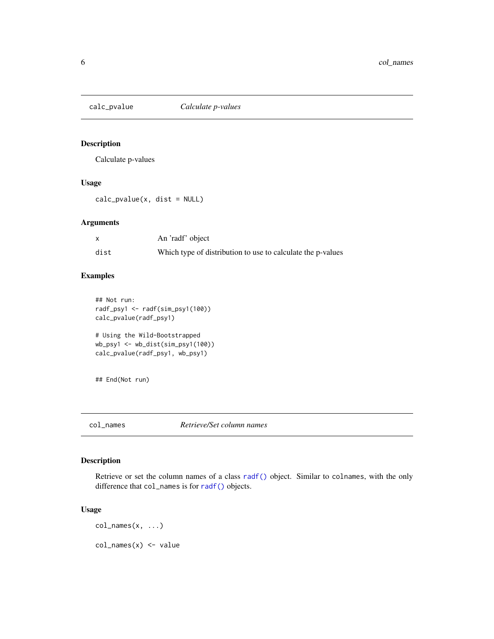<span id="page-5-0"></span>

Calculate p-values

#### Usage

calc\_pvalue(x, dist = NULL)

#### Arguments

|      | An 'radf' object                                            |
|------|-------------------------------------------------------------|
| dist | Which type of distribution to use to calculate the p-values |

#### Examples

```
## Not run:
radf_psy1 <- radf(sim_psy1(100))
calc_pvalue(radf_psy1)
# Using the Wild-Bootstrapped
wb_psy1 <- wb_dist(sim_psy1(100))
calc_pvalue(radf_psy1, wb_psy1)
```
## End(Not run)

col\_names *Retrieve/Set column names*

#### Description

Retrieve or set the column names of a class [radf\(\)](#page-11-1) object. Similar to colnames, with the only difference that col\_names is for [radf\(\)](#page-11-1) objects.

#### Usage

col\_names(x, ...) col\_names(x) <- value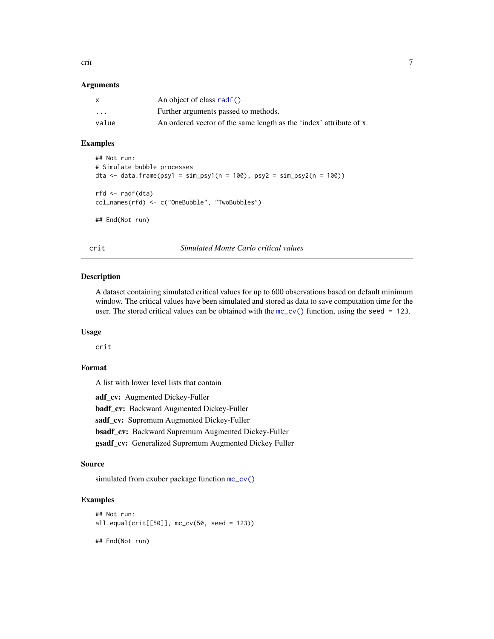<span id="page-6-0"></span>crit 2008 and 2008 and 2008 and 2008 and 2008 and 2008 and 2008 and 2008 and 2008 and 2008 and 2008 and 2008 a

#### **Arguments**

|                         | An object of class radf()                                           |
|-------------------------|---------------------------------------------------------------------|
| $\cdot$ $\cdot$ $\cdot$ | Further arguments passed to methods.                                |
| value                   | An ordered vector of the same length as the 'index' attribute of x. |

#### Examples

```
## Not run:
# Simulate bubble processes
dta <- data.frame(psy1 = sim_psy1(n = 100), psy2 = sim_psy2(n = 100))
rfd <- radf(dta)
col_names(rfd) <- c("OneBubble", "TwoBubbles")
## End(Not run)
```
crit *Simulated Monte Carlo critical values*

#### Description

A dataset containing simulated critical values for up to 600 observations based on default minimum window. The critical values have been simulated and stored as data to save computation time for the user. The stored critical values can be obtained with the  $mc_{c}v()$  function, using the seed = 123.

#### Usage

crit

#### Format

A list with lower level lists that contain

adf\_cv: Augmented Dickey-Fuller badf\_cv: Backward Augmented Dickey-Fuller sadf\_cv: Supremum Augmented Dickey-Fuller bsadf\_cv: Backward Supremum Augmented Dickey-Fuller gsadf\_cv: Generalized Supremum Augmented Dickey Fuller

#### Source

simulated from exuber package function  $mc\_cv()$ 

#### Examples

```
## Not run:
all.equal(crit[[50]], mc_cv(50, seed = 123))
## End(Not run)
```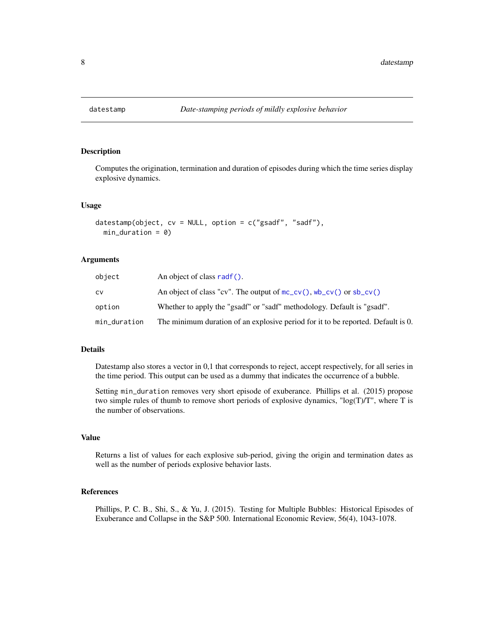<span id="page-7-1"></span><span id="page-7-0"></span>

Computes the origination, termination and duration of episodes during which the time series display explosive dynamics.

#### Usage

```
datestamp(object, cv = NULL, option = c("gsadf", "sadf"),
 min\_duration = 0
```
#### Arguments

| object       | An object of class radf().                                                       |
|--------------|----------------------------------------------------------------------------------|
| C٧           | An object of class "cv". The output of $mc\_cv()$ , $wb\_cv()$ or $sb\_cv()$     |
| option       | Whether to apply the "gsadf" or "sadf" methodology. Default is "gsadf".          |
| min_duration | The minimum duration of an explosive period for it to be reported. Default is 0. |

#### Details

Datestamp also stores a vector in 0,1 that corresponds to reject, accept respectively, for all series in the time period. This output can be used as a dummy that indicates the occurrence of a bubble.

Setting min\_duration removes very short episode of exuberance. Phillips et al. (2015) propose two simple rules of thumb to remove short periods of explosive dynamics, " $log(T)/T$ ", where T is the number of observations.

#### Value

Returns a list of values for each explosive sub-period, giving the origin and termination dates as well as the number of periods explosive behavior lasts.

#### References

Phillips, P. C. B., Shi, S., & Yu, J. (2015). Testing for Multiple Bubbles: Historical Episodes of Exuberance and Collapse in the S&P 500. International Economic Review, 56(4), 1043-1078.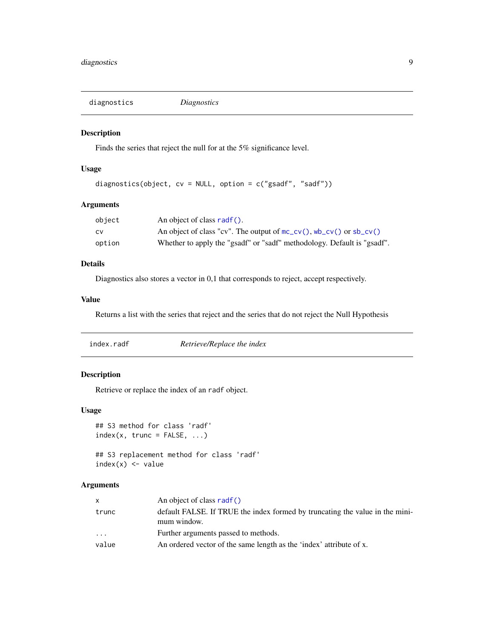<span id="page-8-0"></span>diagnostics *Diagnostics*

#### Description

Finds the series that reject the null for at the 5% significance level.

#### Usage

```
diagnostics(object, cv = NULL, option = c("gsadf", "sadf"))
```
#### Arguments

| object | An object of class radf().                                                   |
|--------|------------------------------------------------------------------------------|
| CV     | An object of class "cv". The output of $mc\_cv()$ , $wb\_cv()$ or $sb\_cv()$ |
| option | Whether to apply the "gsadf" or "sadf" methodology. Default is "gsadf".      |

#### Details

Diagnostics also stores a vector in 0,1 that corresponds to reject, accept respectively.

#### Value

Returns a list with the series that reject and the series that do not reject the Null Hypothesis

| index.radf | Retrieve/Replace the index |
|------------|----------------------------|
|------------|----------------------------|

#### Description

Retrieve or replace the index of an radf object.

#### Usage

```
## S3 method for class 'radf'
index(x, trunc = FALSE, ...)
```

```
## S3 replacement method for class 'radf'
index(x) < - value
```
#### Arguments

| X     | An object of class radf()                                                                   |
|-------|---------------------------------------------------------------------------------------------|
| trunc | default FALSE. If TRUE the index formed by truncating the value in the mini-<br>mum window. |
| .     | Further arguments passed to methods.                                                        |
| value | An ordered vector of the same length as the 'index' attribute of x.                         |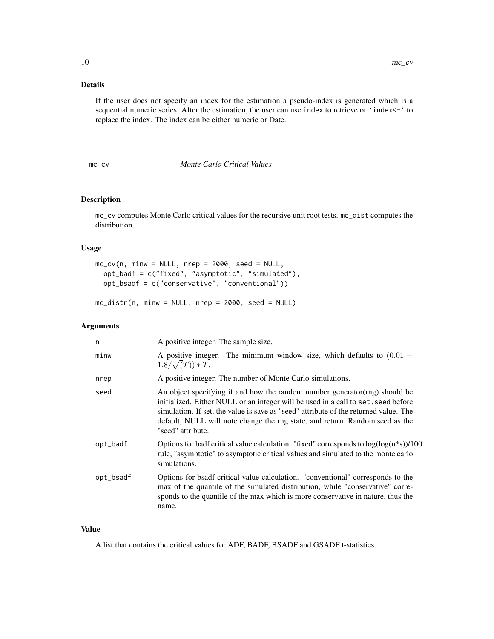#### <span id="page-9-0"></span>Details

If the user does not specify an index for the estimation a pseudo-index is generated which is a sequential numeric series. After the estimation, the user can use index to retrieve or `index <-` to replace the index. The index can be either numeric or Date.

#### <span id="page-9-1"></span>mc\_cv *Monte Carlo Critical Values*

#### Description

mc\_cv computes Monte Carlo critical values for the recursive unit root tests. mc\_dist computes the distribution.

#### Usage

```
mc_cv(n, minw = NULL, nrep = 2000, seed = NULL,
 opt_badf = c("fixed", "asymptotic", "simulated"),
 opt_bsadf = c("conservative", "conventional"))
```
 $mc\_distr(n, minw = NULL, nrep = 2000, seed = NULL)$ 

#### Arguments

| n         | A positive integer. The sample size.                                                                                                                                                                                                                                                                                                                          |
|-----------|---------------------------------------------------------------------------------------------------------------------------------------------------------------------------------------------------------------------------------------------------------------------------------------------------------------------------------------------------------------|
| minw      | A positive integer. The minimum window size, which defaults to $(0.01 +$<br>$1.8/\sqrt(T)) * T.$                                                                                                                                                                                                                                                              |
| nrep      | A positive integer. The number of Monte Carlo simulations.                                                                                                                                                                                                                                                                                                    |
| seed      | An object specifying if and how the random number generator (rng) should be<br>initialized. Either NULL or an integer will be used in a call to set. seed before<br>simulation. If set, the value is save as "seed" attribute of the returned value. The<br>default, NULL will note change the rng state, and return .Random.seed as the<br>"seed" attribute. |
| opt_badf  | Options for badf critical value calculation. "fixed" corresponds to $log(log(n*s))/100$<br>rule, "asymptotic" to asymptotic critical values and simulated to the monte carlo<br>simulations.                                                                                                                                                                  |
| opt_bsadf | Options for bsadf critical value calculation. "conventional" corresponds to the<br>max of the quantile of the simulated distribution, while "conservative" corre-<br>sponds to the quantile of the max which is more conservative in nature, thus the<br>name.                                                                                                |

#### Value

A list that contains the critical values for ADF, BADF, BSADF and GSADF t-statistics.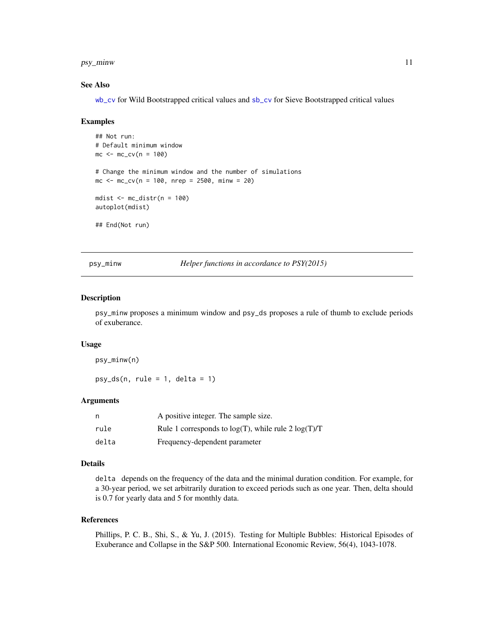<span id="page-10-0"></span>psy\_minw 11

#### See Also

[wb\\_cv](#page-25-1) for Wild Bootstrapped critical values and [sb\\_cv](#page-12-1) for Sieve Bootstrapped critical values

#### Examples

```
## Not run:
# Default minimum window
mc < -mc_{cv}(n = 100)# Change the minimum window and the number of simulations
mc \le - mc_cv(n = 100, nrep = 2500, minw = 20)
mdist \leq mc_distr(n = 100)
autoplot(mdist)
## End(Not run)
```
psy\_minw *Helper functions in accordance to PSY(2015)*

#### Description

psy\_minw proposes a minimum window and psy\_ds proposes a rule of thumb to exclude periods of exuberance.

#### Usage

psy\_minw(n)

 $psy_ds(n, rule = 1, delta = 1)$ 

#### **Arguments**

| n     | A positive integer. The sample size.                     |
|-------|----------------------------------------------------------|
| rule  | Rule 1 corresponds to $log(T)$ , while rule 2 $log(T)/T$ |
| delta | Frequency-dependent parameter                            |

#### Details

delta depends on the frequency of the data and the minimal duration condition. For example, for a 30-year period, we set arbitrarily duration to exceed periods such as one year. Then, delta should is 0.7 for yearly data and 5 for monthly data.

#### References

Phillips, P. C. B., Shi, S., & Yu, J. (2015). Testing for Multiple Bubbles: Historical Episodes of Exuberance and Collapse in the S&P 500. International Economic Review, 56(4), 1043-1078.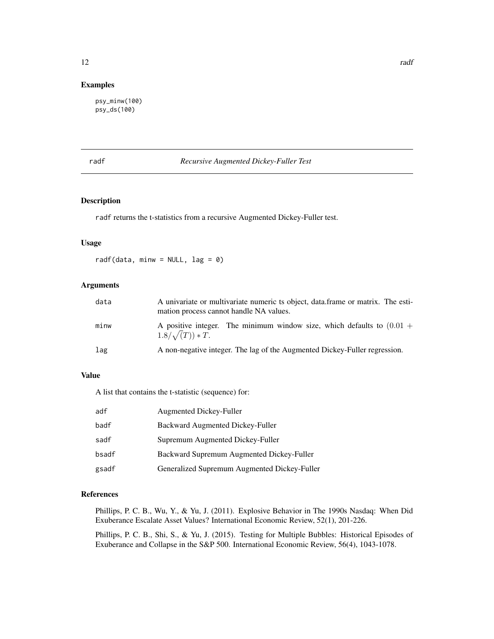#### <span id="page-11-0"></span>Examples

psy\_minw(100) psy\_ds(100)

#### <span id="page-11-1"></span>radf *Recursive Augmented Dickey-Fuller Test*

#### Description

radf returns the t-statistics from a recursive Augmented Dickey-Fuller test.

#### Usage

radf(data, minw =  $NULL$ , lag = 0)

#### Arguments

| data | A univariate or multivariate numeric ts object, data frame or matrix. The esti-<br>mation process cannot handle NA values. |
|------|----------------------------------------------------------------------------------------------------------------------------|
| minw | A positive integer. The minimum window size, which defaults to $(0.01 +$<br>$1.8/\sqrt(T)$ * T.                            |
| lag  | A non-negative integer. The lag of the Augmented Dickey-Fuller regression.                                                 |

#### Value

A list that contains the t-statistic (sequence) for:

| adf   | Augmented Dickey-Fuller                      |
|-------|----------------------------------------------|
| badf  | Backward Augmented Dickey-Fuller             |
| sadf  | Supremum Augmented Dickey-Fuller             |
| bsadf | Backward Supremum Augmented Dickey-Fuller    |
| gsadf | Generalized Supremum Augmented Dickey-Fuller |

#### References

Phillips, P. C. B., Wu, Y., & Yu, J. (2011). Explosive Behavior in The 1990s Nasdaq: When Did Exuberance Escalate Asset Values? International Economic Review, 52(1), 201-226.

Phillips, P. C. B., Shi, S., & Yu, J. (2015). Testing for Multiple Bubbles: Historical Episodes of Exuberance and Collapse in the S&P 500. International Economic Review, 56(4), 1043-1078.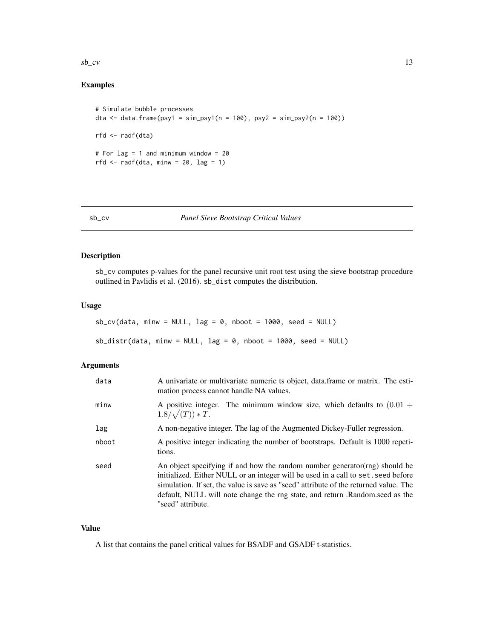<span id="page-12-0"></span> $sb\_cv$  13

#### Examples

```
# Simulate bubble processes
dta <- data.frame(psy1 = sim_psy1(n = 100), psy2 = sim_psy2(n = 100))
rfd <- radf(dta)
# For lag = 1 and minimum window = 20
rfd \le radf(dta, minw = 20, lag = 1)
```
#### <span id="page-12-1"></span>sb\_cv *Panel Sieve Bootstrap Critical Values*

#### Description

sb\_cv computes p-values for the panel recursive unit root test using the sieve bootstrap procedure outlined in Pavlidis et al. (2016). sb\_dist computes the distribution.

#### Usage

```
sb_{cv}(data, minw = NULL, lag = 0, nboot = 1000, seed = NULL)sb\_distr(data, minw = NULL, lag = 0, nboot = 1000, seed = NULL)
```
#### Arguments

| data  | A univariate or multivariate numeric ts object, data frame or matrix. The esti-<br>mation process cannot handle NA values.                                                                                                                                                                                                                                   |
|-------|--------------------------------------------------------------------------------------------------------------------------------------------------------------------------------------------------------------------------------------------------------------------------------------------------------------------------------------------------------------|
| minw  | A positive integer. The minimum window size, which defaults to $(0.01 +$<br>$1.8/\sqrt(T)) * T.$                                                                                                                                                                                                                                                             |
| lag   | A non-negative integer. The lag of the Augmented Dickey-Fuller regression.                                                                                                                                                                                                                                                                                   |
| nboot | A positive integer indicating the number of bootstraps. Default is 1000 repeti-<br>tions.                                                                                                                                                                                                                                                                    |
| seed  | An object specifying if and how the random number generator(rng) should be<br>initialized. Either NULL or an integer will be used in a call to set. seed before<br>simulation. If set, the value is save as "seed" attribute of the returned value. The<br>default, NULL will note change the rng state, and return .Random.seed as the<br>"seed" attribute. |

#### Value

A list that contains the panel critical values for BSADF and GSADF t-statistics.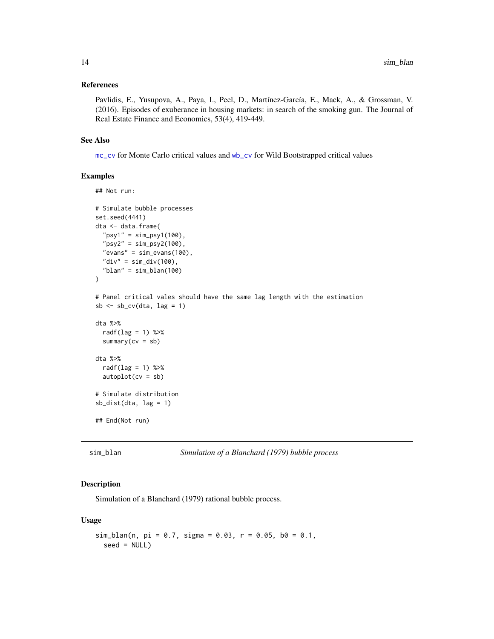#### <span id="page-13-0"></span>References

Pavlidis, E., Yusupova, A., Paya, I., Peel, D., Martínez-García, E., Mack, A., & Grossman, V. (2016). Episodes of exuberance in housing markets: in search of the smoking gun. The Journal of Real Estate Finance and Economics, 53(4), 419-449.

#### See Also

[mc\\_cv](#page-9-1) for Monte Carlo critical values and [wb\\_cv](#page-25-1) for Wild Bootstrapped critical values

#### Examples

```
## Not run:
# Simulate bubble processes
set.seed(4441)
dta <- data.frame(
  "psy1" = sim_psy1(100),
  "psy2" = sim_psy2(100),
  "evans" = sim\_evans(100),
  "div" = sim\_div(100),
  "blan" = sim_blan(100)
\lambda# Panel critical vales should have the same lag length with the estimation
sb \leftarrow sb_{cv}(dta, lag = 1)dta %>%
  radf(lag = 1) %>%
  summary(cv = sb)
dta %>%
  radf(lag = 1) %>%
  autoplot(cv = sb)# Simulate distribution
sb_dist(dta, lag = 1)
## End(Not run)
```
<span id="page-13-1"></span>sim\_blan *Simulation of a Blanchard (1979) bubble process*

#### Description

Simulation of a Blanchard (1979) rational bubble process.

#### Usage

```
sim_blan(n, pi = 0.7, sigma = 0.03, r = 0.05, b0 = 0.1,
  seed = NULL)
```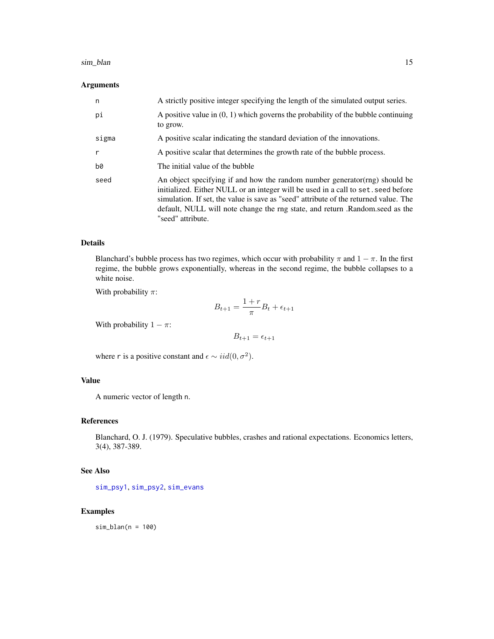#### <span id="page-14-0"></span>sim\_blan 15

#### Arguments

| n            | A strictly positive integer specifying the length of the simulated output series.                                                                                                                                                                                                                                                                             |
|--------------|---------------------------------------------------------------------------------------------------------------------------------------------------------------------------------------------------------------------------------------------------------------------------------------------------------------------------------------------------------------|
| pi           | A positive value in $(0, 1)$ which governs the probability of the bubble continuing<br>to grow.                                                                                                                                                                                                                                                               |
| sigma        | A positive scalar indicating the standard deviation of the innovations.                                                                                                                                                                                                                                                                                       |
| $\mathsf{r}$ | A positive scalar that determines the growth rate of the bubble process.                                                                                                                                                                                                                                                                                      |
| b0           | The initial value of the bubble                                                                                                                                                                                                                                                                                                                               |
| seed         | An object specifying if and how the random number generator (rng) should be<br>initialized. Either NULL or an integer will be used in a call to set, seed before<br>simulation. If set, the value is save as "seed" attribute of the returned value. The<br>default, NULL will note change the rng state, and return .Random.seed as the<br>"seed" attribute. |

#### Details

Blanchard's bubble process has two regimes, which occur with probability  $\pi$  and  $1 - \pi$ . In the first regime, the bubble grows exponentially, whereas in the second regime, the bubble collapses to a white noise.

With probability  $\pi$ :

$$
B_{t+1} = \frac{1+r}{\pi}B_t + \epsilon_{t+1}
$$

With probability  $1 - \pi$ :

$$
B_{t+1} = \epsilon_{t+1}
$$

where r is a positive constant and  $\epsilon \sim i i d(0, \sigma^2)$ .

#### Value

A numeric vector of length n.

#### References

Blanchard, O. J. (1979). Speculative bubbles, crashes and rational expectations. Economics letters, 3(4), 387-389.

#### See Also

[sim\\_psy1](#page-17-1), [sim\\_psy2](#page-19-1), [sim\\_evans](#page-16-1)

#### Examples

sim\_blan(n = 100)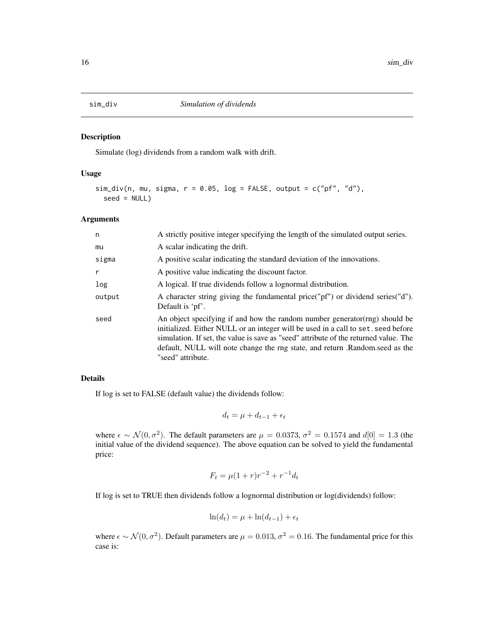<span id="page-15-0"></span>

Simulate (log) dividends from a random walk with drift.

#### Usage

```
sim\_div(n, mu, sigma, r = 0.05, log = FALSE, output = c("pf", "d"),seed = NULL
```
#### Arguments

| n      | A strictly positive integer specifying the length of the simulated output series.                                                                                                                                                                                                                                                                             |
|--------|---------------------------------------------------------------------------------------------------------------------------------------------------------------------------------------------------------------------------------------------------------------------------------------------------------------------------------------------------------------|
| mu     | A scalar indicating the drift.                                                                                                                                                                                                                                                                                                                                |
| sigma  | A positive scalar indicating the standard deviation of the innovations.                                                                                                                                                                                                                                                                                       |
| r      | A positive value indicating the discount factor.                                                                                                                                                                                                                                                                                                              |
| log    | A logical. If true dividends follow a lognormal distribution.                                                                                                                                                                                                                                                                                                 |
| output | A character string giving the fundamental price ("pf") or dividend series ("d").<br>Default is 'pf'.                                                                                                                                                                                                                                                          |
| seed   | An object specifying if and how the random number generator (rng) should be<br>initialized. Either NULL or an integer will be used in a call to set, seed before<br>simulation. If set, the value is save as "seed" attribute of the returned value. The<br>default, NULL will note change the rng state, and return .Random.seed as the<br>"seed" attribute. |

#### Details

If log is set to FALSE (default value) the dividends follow:

$$
d_t = \mu + d_{t-1} + \epsilon_t
$$

where  $\epsilon \sim \mathcal{N}(0, \sigma^2)$ . The default parameters are  $\mu = 0.0373$ ,  $\sigma^2 = 0.1574$  and  $d[0] = 1.3$  (the initial value of the dividend sequence). The above equation can be solved to yield the fundamental price:

$$
F_t = \mu (1+r) r^{-2} + r^{-1} d_t
$$

If log is set to TRUE then dividends follow a lognormal distribution or log(dividends) follow:

$$
\ln(d_t) = \mu + \ln(d_{t-1}) + \epsilon_t
$$

where  $\epsilon \sim \mathcal{N}(0, \sigma^2)$ . Default parameters are  $\mu = 0.013$ ,  $\sigma^2 = 0.16$ . The fundamental price for this case is: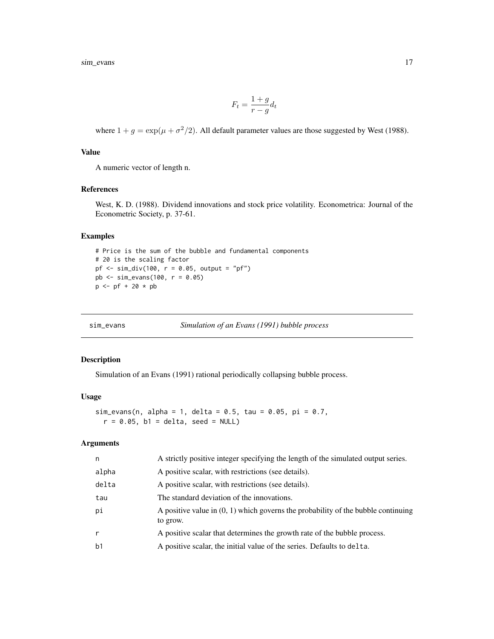<span id="page-16-0"></span>sim\_evans 17

$$
F_t = \frac{1+g}{r-g}d_t
$$

where  $1 + g = \exp(\mu + \sigma^2/2)$ . All default parameter values are those suggested by West (1988).

#### Value

A numeric vector of length n.

#### References

West, K. D. (1988). Dividend innovations and stock price volatility. Econometrica: Journal of the Econometric Society, p. 37-61.

#### Examples

```
# Price is the sum of the bubble and fundamental components
# 20 is the scaling factor
pf \leq \text{sim\_div}(100, r = 0.05, \text{output} = "pf")pb <- sim_evans(100, r = 0.05)
p <- pf + 20 * pb
```
<span id="page-16-1"></span>

```
sim_evans Simulation of an Evans (1991) bubble process
```
#### **Description**

Simulation of an Evans (1991) rational periodically collapsing bubble process.

#### Usage

sim\_evans(n, alpha = 1, delta = 0.5, tau = 0.05, pi = 0.7,  $r = 0.05$ , b1 = delta, seed = NULL)

#### Arguments

| n              | A strictly positive integer specifying the length of the simulated output series.               |
|----------------|-------------------------------------------------------------------------------------------------|
| alpha          | A positive scalar, with restrictions (see details).                                             |
| delta          | A positive scalar, with restrictions (see details).                                             |
| tau            | The standard deviation of the innovations.                                                      |
| pi             | A positive value in $(0, 1)$ which governs the probability of the bubble continuing<br>to grow. |
| r              | A positive scalar that determines the growth rate of the bubble process.                        |
| b <sub>1</sub> | A positive scalar, the initial value of the series. Defaults to delta.                          |
|                |                                                                                                 |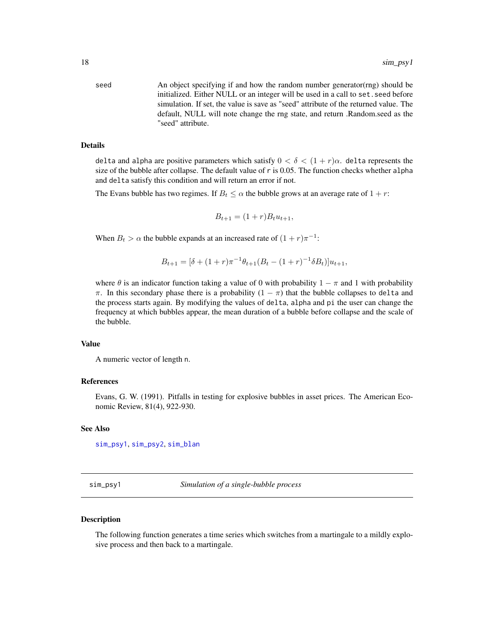seed An object specifying if and how the random number generator(rng) should be initialized. Either NULL or an integer will be used in a call to set.seed before simulation. If set, the value is save as "seed" attribute of the returned value. The default, NULL will note change the rng state, and return .Random.seed as the "seed" attribute.

#### Details

delta and alpha are positive parameters which satisfy  $0 < \delta < (1 + r)\alpha$ . delta represents the size of the bubble after collapse. The default value of r is 0.05. The function checks whether alpha and delta satisfy this condition and will return an error if not.

The Evans bubble has two regimes. If  $B_t \leq \alpha$  the bubble grows at an average rate of  $1 + r$ :

$$
B_{t+1} = (1+r)B_t u_{t+1},
$$

When  $B_t > \alpha$  the bubble expands at an increased rate of  $(1+r)\pi^{-1}$ :

$$
B_{t+1} = [\delta + (1+r)\pi^{-1}\theta_{t+1}(B_t - (1+r)^{-1}\delta B_t)]u_{t+1},
$$

where  $\theta$  is an indicator function taking a value of 0 with probability  $1 - \pi$  and 1 with probability  $\pi$ . In this secondary phase there is a probability  $(1 - \pi)$  that the bubble collapses to delta and the process starts again. By modifying the values of delta, alpha and pi the user can change the frequency at which bubbles appear, the mean duration of a bubble before collapse and the scale of the bubble.

#### Value

A numeric vector of length n.

#### References

Evans, G. W. (1991). Pitfalls in testing for explosive bubbles in asset prices. The American Economic Review, 81(4), 922-930.

#### See Also

[sim\\_psy1](#page-17-1), [sim\\_psy2](#page-19-1), [sim\\_blan](#page-13-1)

<span id="page-17-1"></span>sim\_psy1 *Simulation of a single-bubble process*

#### Description

The following function generates a time series which switches from a martingale to a mildly explosive process and then back to a martingale.

<span id="page-17-0"></span>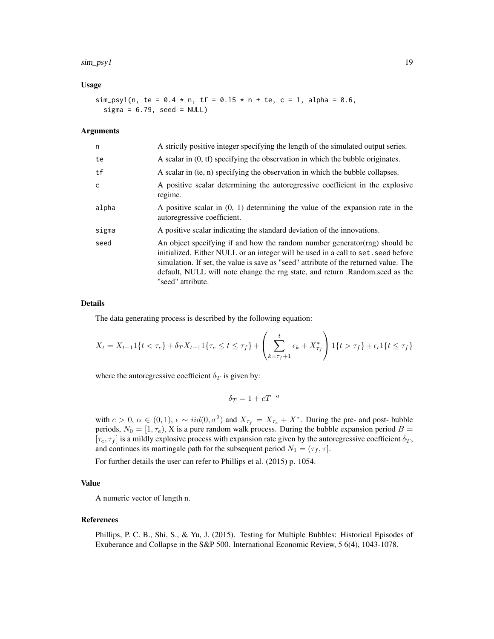#### sim\_psy1 19

#### Usage

sim\_psy1(n, te =  $0.4 * n$ , tf =  $0.15 * n + t$ e, c = 1, alpha =  $0.6$ ,  $signa = 6.79$ , seed = NULL)

#### Arguments

| n     | A strictly positive integer specifying the length of the simulated output series.                                                                                                                                                                                                                                                                             |
|-------|---------------------------------------------------------------------------------------------------------------------------------------------------------------------------------------------------------------------------------------------------------------------------------------------------------------------------------------------------------------|
| te    | A scalar in $(0, tf)$ specifying the observation in which the bubble originates.                                                                                                                                                                                                                                                                              |
| tf    | A scalar in (te, n) specifying the observation in which the bubble collapses.                                                                                                                                                                                                                                                                                 |
| C.    | A positive scalar determining the autoregressive coefficient in the explosive<br>regime.                                                                                                                                                                                                                                                                      |
| alpha | A positive scalar in $(0, 1)$ determining the value of the expansion rate in the<br>autoregressive coefficient.                                                                                                                                                                                                                                               |
| sigma | A positive scalar indicating the standard deviation of the innovations.                                                                                                                                                                                                                                                                                       |
| seed  | An object specifying if and how the random number generator (rng) should be<br>initialized. Either NULL or an integer will be used in a call to set, seed before<br>simulation. If set, the value is save as "seed" attribute of the returned value. The<br>default, NULL will note change the rng state, and return .Random.seed as the<br>"seed" attribute. |

#### Details

The data generating process is described by the following equation:

$$
X_t = X_{t-1}\{t < \tau_e\} + \delta_T X_{t-1}\{t\tau_e \le t \le \tau_f\} + \left(\sum_{k=\tau_f+1}^t \epsilon_k + X_{\tau_f}^*\right)\{t > \tau_f\} + \epsilon_t \{t \le \tau_f\}
$$

where the autoregressive coefficient  $\delta_T$  is given by:

$$
\delta_T = 1 + cT^{-a}
$$

with  $c > 0$ ,  $\alpha \in (0, 1)$ ,  $\epsilon \sim \text{iid}(0, \sigma^2)$  and  $X_{\tau_f} = X_{\tau_e} + X^*$ . During the pre- and post-bubble periods,  $N_0 = [1, \tau_e)$ , X is a pure random walk process. During the bubble expansion period  $B =$  $[\tau_e, \tau_f]$  is a mildly explosive process with expansion rate given by the autoregressive coefficient  $\delta_T$ , and continues its martingale path for the subsequent period  $N_1 = (\tau_f, \tau]$ .

For further details the user can refer to Phillips et al. (2015) p. 1054.

#### Value

A numeric vector of length n.

#### References

Phillips, P. C. B., Shi, S., & Yu, J. (2015). Testing for Multiple Bubbles: Historical Episodes of Exuberance and Collapse in the S&P 500. International Economic Review, 5 6(4), 1043-1078.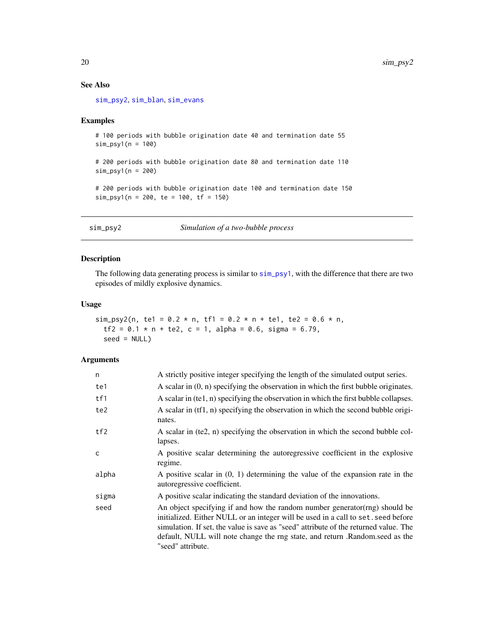#### See Also

[sim\\_psy2](#page-19-1), [sim\\_blan](#page-13-1), [sim\\_evans](#page-16-1)

#### Examples

# 100 periods with bubble origination date 40 and termination date 55 sim\_psy1(n = 100) # 200 periods with bubble origination date 80 and termination date 110 sim\_psy1(n = 200) # 200 periods with bubble origination date 100 and termination date 150  $sim\_psy1(n = 200, te = 100, tf = 150)$ 

<span id="page-19-1"></span>

| sim_psy2 | Simulation of a two-bubble process |  |
|----------|------------------------------------|--|
|          |                                    |  |

#### Description

The following data generating process is similar to [sim\\_psy1](#page-17-1), with the difference that there are two episodes of mildly explosive dynamics.

#### Usage

sim\_psy2(n, te1 =  $0.2 * n$ , tf1 =  $0.2 * n + t$ e1, te2 =  $0.6 * n$ ,  $tf2 = 0.1 * n + te2$ ,  $c = 1$ , alpha = 0.6, sigma = 6.79,  $seed = NULL$ 

#### Arguments

| n     | A strictly positive integer specifying the length of the simulated output series.                                                                                                                                                                                                                                                                              |
|-------|----------------------------------------------------------------------------------------------------------------------------------------------------------------------------------------------------------------------------------------------------------------------------------------------------------------------------------------------------------------|
| te1   | A scalar in $(0, n)$ specifying the observation in which the first bubble originates.                                                                                                                                                                                                                                                                          |
| tf1   | A scalar in (te1, n) specifying the observation in which the first bubble collapses.                                                                                                                                                                                                                                                                           |
| te2   | A scalar in (tf1, n) specifying the observation in which the second bubble origi-<br>nates.                                                                                                                                                                                                                                                                    |
| tf2   | A scalar in (te2, n) specifying the observation in which the second bubble col-<br>lapses.                                                                                                                                                                                                                                                                     |
| C     | A positive scalar determining the autoregressive coefficient in the explosive<br>regime.                                                                                                                                                                                                                                                                       |
| alpha | A positive scalar in $(0, 1)$ determining the value of the expansion rate in the<br>autoregressive coefficient.                                                                                                                                                                                                                                                |
| sigma | A positive scalar indicating the standard deviation of the innovations.                                                                                                                                                                                                                                                                                        |
| seed  | An object specifying if and how the random number generator (rng) should be<br>initialized. Either NULL or an integer will be used in a call to set. seed before<br>simulation. If set, the value is save as "seed" attribute of the returned value. The<br>default, NULL will note change the rng state, and return . Random seed as the<br>"seed" attribute. |

<span id="page-19-0"></span>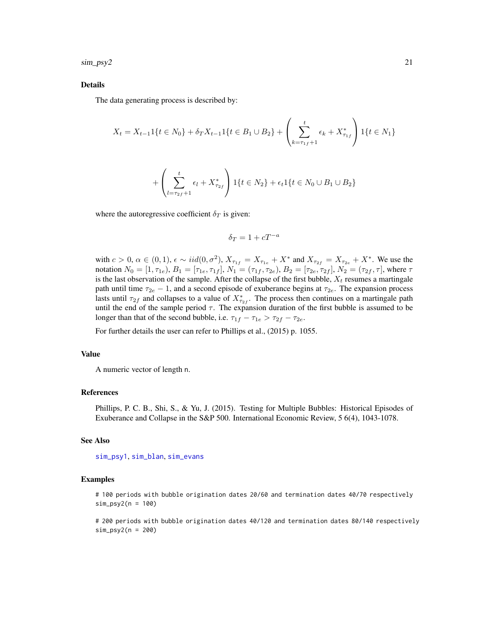<span id="page-20-0"></span> $\sin\frac{psy}{2}$  21

#### Details

The data generating process is described by:

$$
X_t = X_{t-1}1\{t \in N_0\} + \delta_T X_{t-1}1\{t \in B_1 \cup B_2\} + \left(\sum_{k=\tau_{1f}+1}^t \epsilon_k + X^*_{\tau_{1f}}\right)1\{t \in N_1\}
$$

$$
+\left(\sum_{l=\tau_{2f}+1}^{t}\epsilon_{l} + X_{\tau_{2f}}^{*}\right)1\{t \in N_{2}\} + \epsilon_{t}1\{t \in N_{0} \cup B_{1} \cup B_{2}\}\
$$

where the autoregressive coefficient  $\delta_T$  is given:

$$
\delta_T=1+cT^{-a}
$$

with  $c > 0$ ,  $\alpha \in (0, 1)$ ,  $\epsilon \sim \text{iid}(0, \sigma^2)$ ,  $X_{\tau_{1f}} = X_{\tau_{1e}} + X^*$  and  $X_{\tau_{2f}} = X_{\tau_{2e}} + X^*$ . We use the notation  $N_0 = [1, \tau_{1e}), B_1 = [\tau_{1e}, \tau_{1f}], N_1 = (\tau_{1f}, \tau_{2e}), B_2 = [\tau_{2e}, \tau_{2f}], N_2 = (\tau_{2f}, \tau]$ , where  $\tau$ is the last observation of the sample. After the collapse of the first bubble,  $X_t$  resumes a martingale path until time  $\tau_{2e} - 1$ , and a second episode of exuberance begins at  $\tau_{2e}$ . The expansion process lasts until  $\tau_{2f}$  and collapses to a value of  $X_{\tau_{2f}}^*$ . The process then continues on a martingale path until the end of the sample period  $\tau$ . The expansion duration of the first bubble is assumed to be longer than that of the second bubble, i.e.  $\tau_{1f} - \tau_{1e} > \tau_{2f} - \tau_{2e}$ .

For further details the user can refer to Phillips et al., (2015) p. 1055.

#### Value

A numeric vector of length n.

#### References

Phillips, P. C. B., Shi, S., & Yu, J. (2015). Testing for Multiple Bubbles: Historical Episodes of Exuberance and Collapse in the S&P 500. International Economic Review, 5 6(4), 1043-1078.

#### See Also

[sim\\_psy1](#page-17-1), [sim\\_blan](#page-13-1), [sim\\_evans](#page-16-1)

#### Examples

# 100 periods with bubble origination dates 20/60 and termination dates 40/70 respectively sim\_psy2(n = 100)

# 200 periods with bubble origination dates 40/120 and termination dates 80/140 respectively sim\_psy2(n = 200)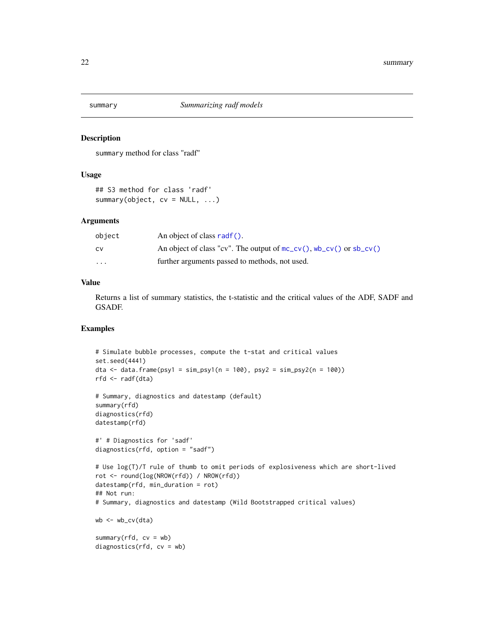<span id="page-21-0"></span>

summary method for class "radf"

#### Usage

```
## S3 method for class 'radf'
summary(object, cv = NULL, ...)
```
#### Arguments

| object                  | An object of class radf().                                              |
|-------------------------|-------------------------------------------------------------------------|
| <b>CV</b>               | An object of class "cv". The output of $mc_{cv}$ (), wb_cv() or sb_cv() |
| $\cdot$ $\cdot$ $\cdot$ | further arguments passed to methods, not used.                          |

#### Value

Returns a list of summary statistics, the t-statistic and the critical values of the ADF, SADF and GSADF.

#### Examples

```
# Simulate bubble processes, compute the t-stat and critical values
set.seed(4441)
dta \le data.frame(psy1 = sim_psy1(n = 100), psy2 = sim_psy2(n = 100))
rfd <- radf(dta)
# Summary, diagnostics and datestamp (default)
summary(rfd)
diagnostics(rfd)
datestamp(rfd)
#' # Diagnostics for 'sadf'
diagnostics(rfd, option = "sadf")
# Use log(T)/T rule of thumb to omit periods of explosiveness which are short-lived
rot <- round(log(NROW(rfd)) / NROW(rfd))
datestamp(rfd, min_duration = rot)
## Not run:
# Summary, diagnostics and datestamp (Wild Bootstrapped critical values)
wb < -wb_{cv}(dta)summary(rfd, cv = wb)
diagnostics(rfd, cv = wb)
```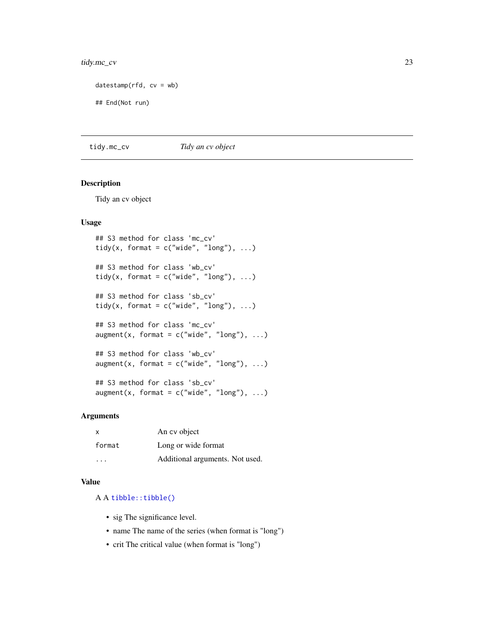#### <span id="page-22-0"></span>tidy.mc\_cv 23

```
datestamp(rfd, cv = wb)
```

```
## End(Not run)
```
tidy.mc\_cv *Tidy an cv object*

#### Description

Tidy an cv object

#### Usage

```
## S3 method for class 'mc_cv'
tidy(x, format = c("wide", "long"), ...)
## S3 method for class 'wb_cv'
tidy(x, format = c("wide", "long"), ...)
## S3 method for class 'sb_cv'
tidy(x, format = c("wide", "long"), ...)
## S3 method for class 'mc_cv'
augment(x, format = c("wide", "long"), ...)## S3 method for class 'wb_cv'
augment(x, format = c("wide", "long"), ...)
```

```
## S3 method for class 'sb_cv'
augment(x, format = c("wide", "long"), ...)
```
#### Arguments

| X      | An cy object                    |
|--------|---------------------------------|
| format | Long or wide format             |
| .      | Additional arguments. Not used. |

#### Value

A A [tibble::tibble\(\)](#page-0-0)

- sig The significance level.
- name The name of the series (when format is "long")
- crit The critical value (when format is "long")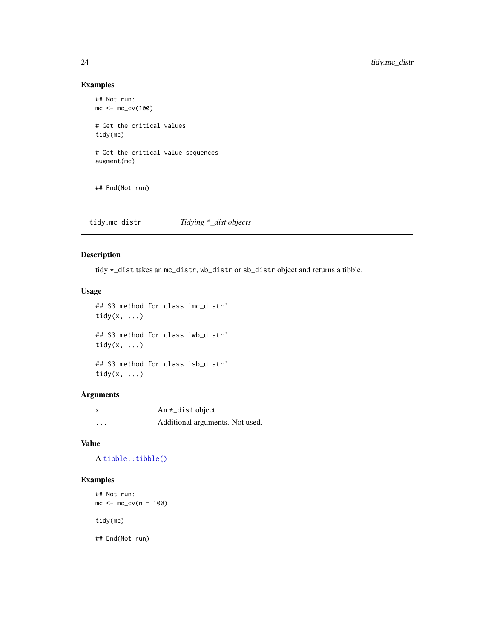#### Examples

```
## Not run:
mc < -mc_{cv}(100)# Get the critical values
tidy(mc)
# Get the critical value sequences
augment(mc)
## End(Not run)
```
tidy.mc\_distr *Tidying \*\_dist objects*

#### Description

tidy \*\_dist takes an mc\_distr, wb\_distr or sb\_distr object and returns a tibble.

#### Usage

```
## S3 method for class 'mc_distr'
tidy(x, \ldots)## S3 method for class 'wb_distr'
tidy(x, ...)
## S3 method for class 'sb_distr'
tidy(x, \ldots)
```
#### Arguments

| X        | An $\star$ _dist object         |
|----------|---------------------------------|
| $\cdots$ | Additional arguments. Not used. |

#### Value

A [tibble::tibble\(\)](#page-0-0)

#### Examples

```
## Not run:
mc < -mc_{cv}(n = 100)tidy(mc)
```
## End(Not run)

<span id="page-23-0"></span>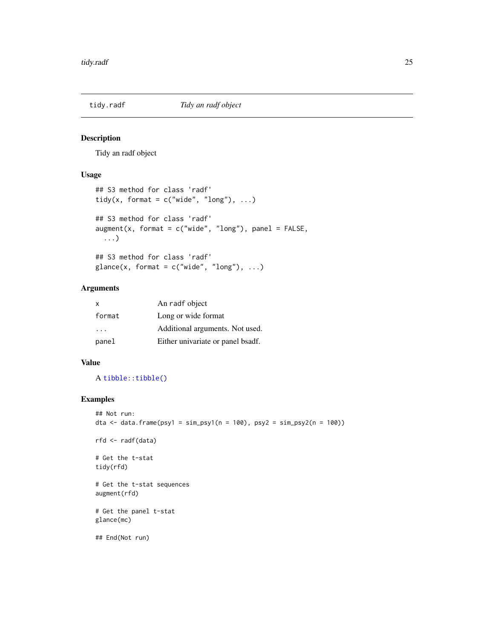<span id="page-24-0"></span>

Tidy an radf object

#### Usage

```
## S3 method for class 'radf'
tidy(x, format = c("wide", "long"), ...)
## S3 method for class 'radf'
augment(x, format = c("wide", "long"), panel = FALSE,...)
## S3 method for class 'radf'
glance(x, format = c("wide", "long"), ...)
```
#### Arguments

| $\mathsf{x}$ | An radf object                    |
|--------------|-----------------------------------|
| format       | Long or wide format               |
| $\cdots$     | Additional arguments. Not used.   |
| panel        | Either univariate or panel bsadf. |

#### Value

A [tibble::tibble\(\)](#page-0-0)

#### Examples

```
## Not run:
dta <- data.frame(psy1 = sim_psy1(n = 100), psy2 = sim_psy2(n = 100))
```
rfd <- radf(data)

# Get the t-stat tidy(rfd)

# Get the t-stat sequences augment(rfd)

# Get the panel t-stat glance(mc)

## End(Not run)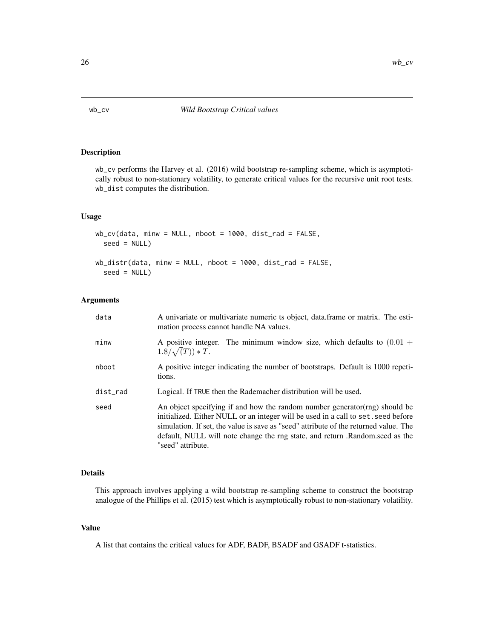<span id="page-25-1"></span><span id="page-25-0"></span>

wb\_cv performs the Harvey et al. (2016) wild bootstrap re-sampling scheme, which is asymptotically robust to non-stationary volatility, to generate critical values for the recursive unit root tests. wb\_dist computes the distribution.

#### Usage

```
wb_cv(data, minw = NULL, nboot = 1000, dist_rad = FALSE,
  seed = NULL)
wb_distr(data, minw = NULL, nboot = 1000, dist_rad = FALSE,
  seed = NULL)
```
#### Arguments

| data     | A univariate or multivariate numeric ts object, data frame or matrix. The esti-<br>mation process cannot handle NA values.                                                                                                                                                                                                                                    |
|----------|---------------------------------------------------------------------------------------------------------------------------------------------------------------------------------------------------------------------------------------------------------------------------------------------------------------------------------------------------------------|
| minw     | A positive integer. The minimum window size, which defaults to $(0.01 +$<br>$1.8/\sqrt(T)) * T.$                                                                                                                                                                                                                                                              |
| nboot    | A positive integer indicating the number of bootstraps. Default is 1000 repeti-<br>tions.                                                                                                                                                                                                                                                                     |
| dist_rad | Logical. If TRUE then the Rademacher distribution will be used.                                                                                                                                                                                                                                                                                               |
| seed     | An object specifying if and how the random number generator (rng) should be<br>initialized. Either NULL or an integer will be used in a call to set. seed before<br>simulation. If set, the value is save as "seed" attribute of the returned value. The<br>default, NULL will note change the rng state, and return .Random.seed as the<br>"seed" attribute. |

#### Details

This approach involves applying a wild bootstrap re-sampling scheme to construct the bootstrap analogue of the Phillips et al. (2015) test which is asymptotically robust to non-stationary volatility.

#### Value

A list that contains the critical values for ADF, BADF, BSADF and GSADF t-statistics.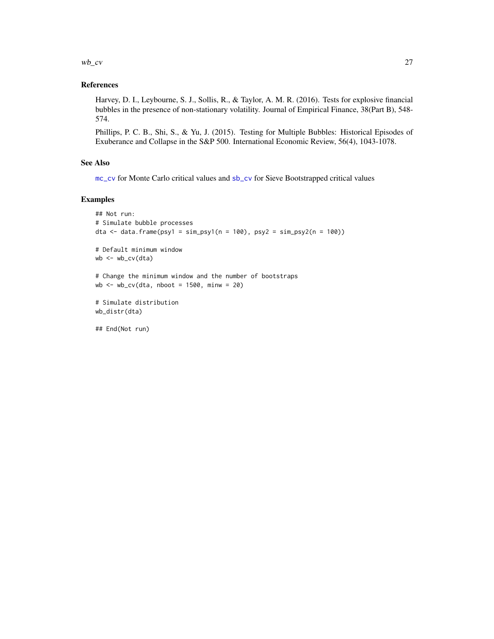<span id="page-26-0"></span> $w$ <sub>b</sub> $cv$  27

#### References

Harvey, D. I., Leybourne, S. J., Sollis, R., & Taylor, A. M. R. (2016). Tests for explosive financial bubbles in the presence of non-stationary volatility. Journal of Empirical Finance, 38(Part B), 548- 574.

Phillips, P. C. B., Shi, S., & Yu, J. (2015). Testing for Multiple Bubbles: Historical Episodes of Exuberance and Collapse in the S&P 500. International Economic Review, 56(4), 1043-1078.

#### See Also

[mc\\_cv](#page-9-1) for Monte Carlo critical values and [sb\\_cv](#page-12-1) for Sieve Bootstrapped critical values

#### Examples

```
## Not run:
# Simulate bubble processes
dta \le data.frame(psy1 = sim_psy1(n = 100), psy2 = sim_psy2(n = 100))
# Default minimum window
wb <- wb_cv(dta)
# Change the minimum window and the number of bootstraps
wb \le - wb_cv(dta, nboot = 1500, minw = 20)
# Simulate distribution
wb_distr(dta)
```
## End(Not run)